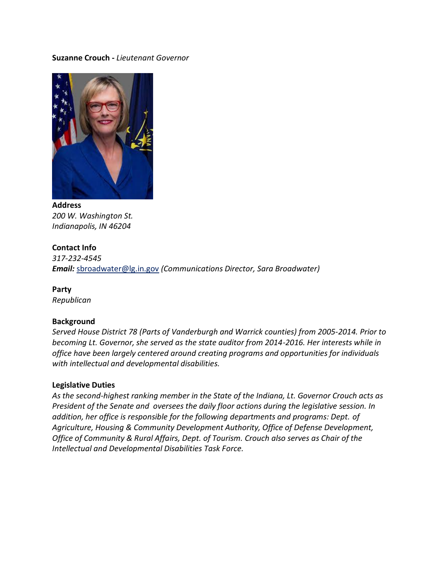#### **Suzanne Crouch -** *Lieutenant Governor*



**Address** *200 W. Washington St. Indianapolis, IN 46204*

#### **Contact Info**

*317-232-4545 Email:* [sbroadwater@lg.in.gov](mailto:sbroadwater@lg.in.gov) *(Communications Director, Sara Broadwater)*

**Party** *Republican* 

### **Background**

*Served House District 78 (Parts of Vanderburgh and Warrick counties) from 2005-2014. Prior to becoming Lt. Governor, she served as the state auditor from 2014-2016. Her interests while in office have been largely centered around creating programs and opportunities for individuals with intellectual and developmental disabilities.* 

#### **Legislative Duties**

*As the second-highest ranking member in the State of the Indiana, Lt. Governor Crouch acts as President of the Senate and oversees the daily floor actions during the legislative session. In addition, her office is responsible for the following departments and programs: Dept. of Agriculture, Housing & Community Development Authority, Office of Defense Development, Office of Community & Rural Affairs, Dept. of Tourism. Crouch also serves as Chair of the Intellectual and Developmental Disabilities Task Force.*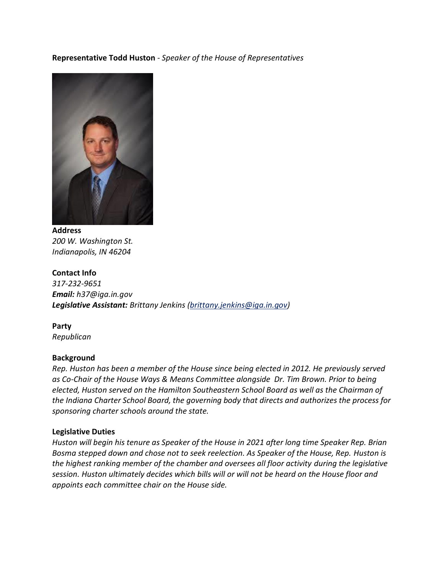# **Representative Todd Huston** - *Speaker of the House of Representatives*



**Address** *200 W. Washington St. Indianapolis, IN 46204*

# **Contact Info** *317-232-9651 Email: h37@iga.in.gov Legislative Assistant: Brittany Jenkins [\(brittany.jenkins@iga.in.gov\)](mailto:brittany.jenkins@iga.in.gov)*

**Party** *Republican* 

### **Background**

*Rep. Huston has been a member of the House since being elected in 2012. He previously served as Co-Chair of the House Ways & Means Committee alongside Dr. Tim Brown. Prior to being elected, Huston served on the Hamilton Southeastern School Board as well as the Chairman of the Indiana Charter School Board, the governing body that directs and authorizes the process for sponsoring charter schools around the state.* 

#### **Legislative Duties**

*Huston will begin his tenure as Speaker of the House in 2021 after long time Speaker Rep. Brian Bosma stepped down and chose not to seek reelection. As Speaker of the House, Rep. Huston is the highest ranking member of the chamber and oversees all floor activity during the legislative session. Huston ultimately decides which bills will or will not be heard on the House floor and appoints each committee chair on the House side.*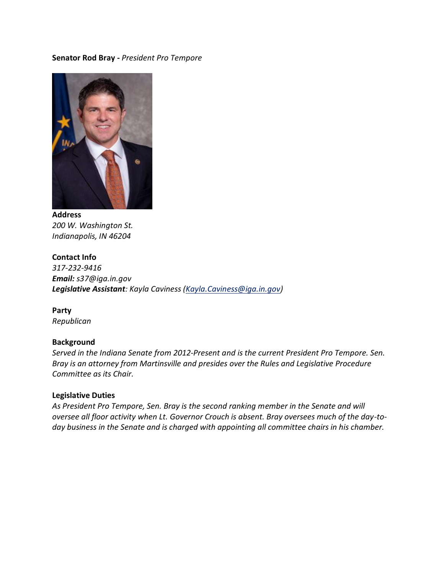#### **Senator Rod Bray -** *President Pro Tempore*



**Address** *200 W. Washington St. Indianapolis, IN 46204*

**Contact Info** *317-232-9416 Email: s37@iga.in.gov Legislative Assistant: Kayla Caviness (Kayla.Caviness@iga.in.gov)*

**Party** *Republican* 

#### **Background**

*Served in the Indiana Senate from 2012-Present and is the current President Pro Tempore. Sen. Bray is an attorney from Martinsville and presides over the Rules and Legislative Procedure Committee as its Chair.* 

#### **Legislative Duties**

*As President Pro Tempore, Sen. Bray is the second ranking member in the Senate and will oversee all floor activity when Lt. Governor Crouch is absent. Bray oversees much of the day-today business in the Senate and is charged with appointing all committee chairs in his chamber.*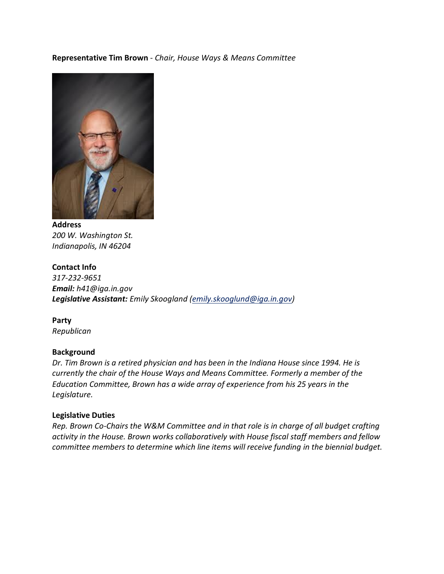## **Representative Tim Brown** - *Chair, House Ways & Means Committee*



**Address** *200 W. Washington St. Indianapolis, IN 46204*

**Contact Info** *317-232-9651 Email: h41@iga.in.gov Legislative Assistant: Emily Skoogland [\(emily.skooglund@iga.in.gov\)](mailto:emily.skooglund@iga.in.gov)*

**Party** *Republican* 

#### **Background**

*Dr. Tim Brown is a retired physician and has been in the Indiana House since 1994. He is currently the chair of the House Ways and Means Committee. Formerly a member of the Education Committee, Brown has a wide array of experience from his 25 years in the Legislature.* 

#### **Legislative Duties**

*Rep. Brown Co-Chairs the W&M Committee and in that role is in charge of all budget crafting activity in the House. Brown works collaboratively with House fiscal staff members and fellow committee members to determine which line items will receive funding in the biennial budget.*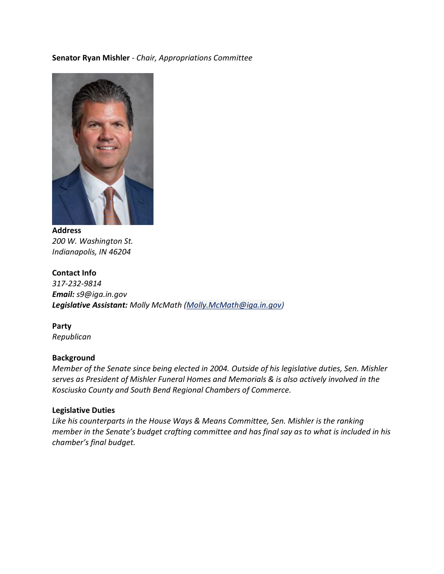## **Senator Ryan Mishler** - *Chair, Appropriations Committee*



**Address** *200 W. Washington St. Indianapolis, IN 46204*

# **Contact Info** *317-232-9814 Email: s9@iga.in.gov Legislative Assistant: Molly McMath [\(Molly.McMath@iga.in.gov\)](mailto:Molly.McMath@iga.in.gov)*

**Party** *Republican* 

### **Background**

*Member of the Senate since being elected in 2004. Outside of his legislative duties, Sen. Mishler serves as President of Mishler Funeral Homes and Memorials & is also actively involved in the Kosciusko County and South Bend Regional Chambers of Commerce.* 

#### **Legislative Duties**

*Like his counterparts in the House Ways & Means Committee, Sen. Mishler is the ranking member in the Senate's budget crafting committee and has final say as to what is included in his chamber's final budget.*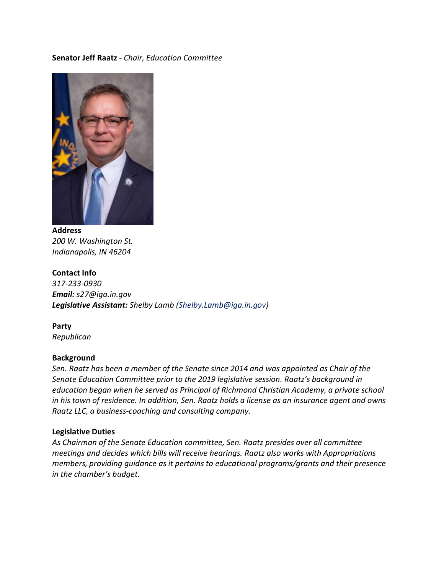## **Senator Jeff Raatz** - *Chair, Education Committee*



**Address** *200 W. Washington St. Indianapolis, IN 46204*

**Contact Info** *317-233-0930 Email: s27@iga.in.gov Legislative Assistant: Shelby Lamb (Shelby.Lamb@iga.in.gov)*

**Party** *Republican* 

### **Background**

*Sen. Raatz has been a member of the Senate since 2014 and was appointed as Chair of the Senate Education Committee prior to the 2019 legislative session. Raatz's background in education began when he served as Principal of Richmond Christian Academy, a private school in his town of residence. In addition, Sen. Raatz holds a license as an insurance agent and owns Raatz LLC, a business-coaching and consulting company.* 

#### **Legislative Duties**

*As Chairman of the Senate Education committee, Sen. Raatz presides over all committee meetings and decides which bills will receive hearings. Raatz also works with Appropriations members, providing guidance as it pertains to educational programs/grants and their presence in the chamber's budget.*